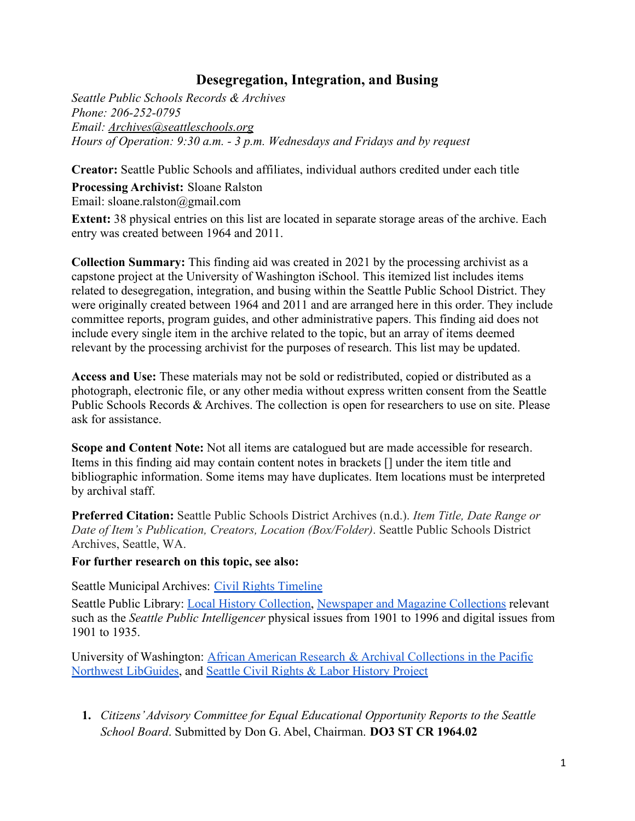## **Desegregation, Integration, and Busing**

*Seattle Public Schools Records & Archives Phone: 206-252-0795 Email: [Archives@seattleschools.org](mailto:Archives@seattleschools.org) Hours of Operation: 9:30 a.m. - 3 p.m. Wednesdays and Fridays and by request*

**Creator:** Seattle Public Schools and affiliates, individual authors credited under each title

**Processing Archivist:** Sloane Ralston Email: [sloane.ralston@gmail.com](mailto:sloane.ralston@gmail.com)

**Extent:** 38 physical entries on this list are located in separate storage areas of the archive. Each entry was created between 1964 and 2011.

**Collection Summary:** This finding aid was created in 2021 by the processing archivist as a capstone project at the University of Washington iSchool. This itemized list includes items related to desegregation, integration, and busing within the Seattle Public School District. They were originally created between 1964 and 2011 and are arranged here in this order. They include committee reports, program guides, and other administrative papers. This finding aid does not include every single item in the archive related to the topic, but an array of items deemed relevant by the processing archivist for the purposes of research. This list may be updated.

**Access and Use:** These materials may not be sold or redistributed, copied or distributed as a photograph, electronic file, or any other media without express written consent from the Seattle Public Schools Records & Archives. The collection is open for researchers to use on site. Please ask for assistance.

**Scope and Content Note:** Not all items are catalogued but are made accessible for research. Items in this finding aid may contain content notes in brackets [] under the item title and bibliographic information. Some items may have duplicates. Item locations must be interpreted by archival staff.

**Preferred Citation:** Seattle Public Schools District Archives (n.d.). *Item Title, Date Range or Date of Item's Publication, Creators, Location (Box/Folder)*. Seattle Public Schools District Archives, Seattle, WA.

## **For further research on this topic, see also:**

Seattle Municipal Archives: [Civil Rights](https://www.seattle.gov/cityarchives/exhibits-and-education/digital-document-libraries/the-seattle-open-housing-campaign/civil-rights-timeline) Timeline

Seattle Public Library: [Local History Collection,](https://www.spl.org/online-resources/seattle-culture-and-local-history) [Newspaper and Magazine Collections](https://www.spl.org/online-resources/magazines-and-newspapers) relevant such as the *Seattle Public Intelligencer* physical issues from 1901 to 1996 and digital issues from 1901 to 1935.

University of Washington: African American Research & [Archival Collections in the Pacific](https://guides.lib.uw.edu/pnw-african-american/home) [Northwest LibGuides,](https://guides.lib.uw.edu/pnw-african-american/home) and [Seattle Civil Rights & Labor History Project](http://depts.washington.edu/civilr/)

**1.** *Citizens'Advisory Committee for Equal Educational Opportunity Reports to the Seattle School Board*. Submitted by Don G. Abel, Chairman. **DO3 ST CR 1964.02**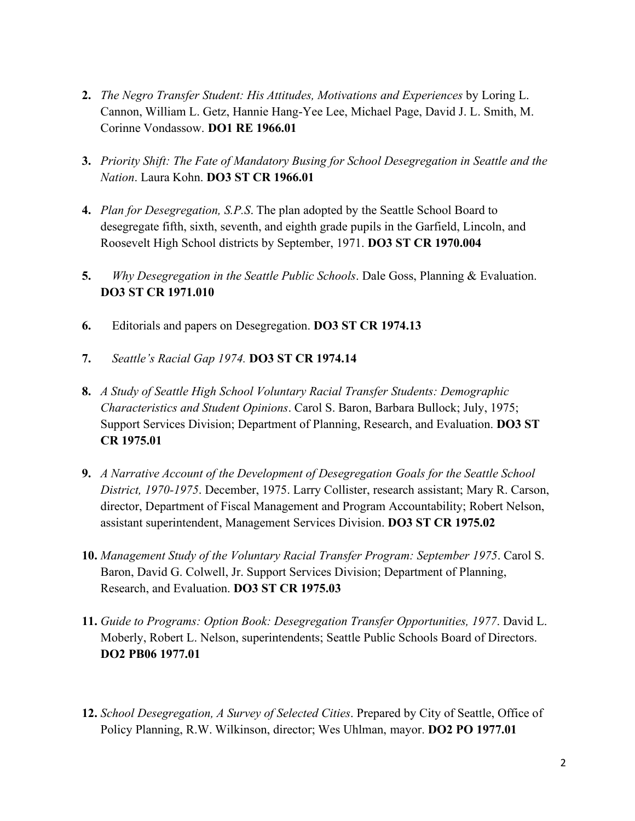- **2.** *The Negro Transfer Student: His Attitudes, Motivations and Experiences* by Loring L. Cannon, William L. Getz, Hannie Hang-Yee Lee, Michael Page, David J. L. Smith, M. Corinne Vondassow. **DO1 RE 1966.01**
- **3.** *Priority Shift: The Fate of Mandatory Busing for School Desegregation in Seattle and the Nation*. Laura Kohn. **DO3 ST CR 1966.01**
- **4.** *Plan for Desegregation, S.P.S*. The plan adopted by the Seattle School Board to desegregate fifth, sixth, seventh, and eighth grade pupils in the Garfield, Lincoln, and Roosevelt High School districts by September, 1971. **DO3 ST CR 1970.004**
- **5.** *Why Desegregation in the Seattle Public Schools*. Dale Goss, Planning & Evaluation. **DO3 ST CR 1971.010**
- **6.** Editorials and papers on Desegregation. **DO3 ST CR 1974.13**
- **7.** *Seattle's Racial Gap 1974.* **DO3 ST CR 1974.14**
- **8.** *A Study of Seattle High School Voluntary Racial Transfer Students: Demographic Characteristics and Student Opinions*. Carol S. Baron, Barbara Bullock; July, 1975; Support Services Division; Department of Planning, Research, and Evaluation. **DO3 ST CR 1975.01**
- **9.** *A Narrative Account of the Development of Desegregation Goals for the Seattle School District, 1970-1975*. December, 1975. Larry Collister, research assistant; Mary R. Carson, director, Department of Fiscal Management and Program Accountability; Robert Nelson, assistant superintendent, Management Services Division. **DO3 ST CR 1975.02**
- **10.** *Management Study of the Voluntary Racial Transfer Program: September 1975*. Carol S. Baron, David G. Colwell, Jr. Support Services Division; Department of Planning, Research, and Evaluation. **DO3 ST CR 1975.03**
- **11.** *Guide to Programs: Option Book: Desegregation Transfer Opportunities, 1977*. David L. Moberly, Robert L. Nelson, superintendents; Seattle Public Schools Board of Directors. **DO2 PB06 1977.01**
- **12.** *School Desegregation, A Survey of Selected Cities*. Prepared by City of Seattle, Office of Policy Planning, R.W. Wilkinson, director; Wes Uhlman, mayor. **DO2 PO 1977.01**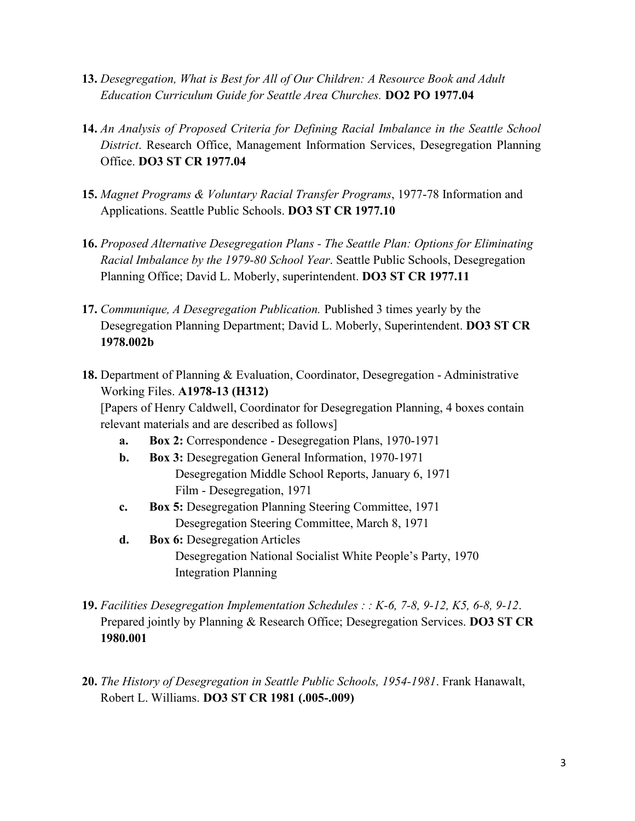- **13.** *Desegregation, What is Best for All of Our Children: A Resource Book and Adult Education Curriculum Guide for Seattle Area Churches.* **DO2 PO 1977.04**
- **14.** *An Analysis of Proposed Criteria for Defining Racial Imbalance in the Seattle School District*. Research Office, Management Information Services, Desegregation Planning Office. **DO3 ST CR 1977.04**
- **15.** *Magnet Programs & Voluntary Racial Transfer Programs*, 1977-78 Information and Applications. Seattle Public Schools. **DO3 ST CR 1977.10**
- **16.** *Proposed Alternative Desegregation Plans - The Seattle Plan: Options for Eliminating Racial Imbalance by the 1979-80 School Year*. Seattle Public Schools, Desegregation Planning Office; David L. Moberly, superintendent. **DO3 ST CR 1977.11**
- **17.** *Communique, A Desegregation Publication.* Published 3 times yearly by the Desegregation Planning Department; David L. Moberly, Superintendent. **DO3 ST CR 1978.002b**
- **18.** Department of Planning & Evaluation, Coordinator, Desegregation Administrative Working Files. **A1978-13 (H312)** [Papers of Henry Caldwell, Coordinator for Desegregation Planning, 4 boxes contain relevant materials and are described as follows]
	- **a. Box 2:** Correspondence Desegregation Plans, 1970-1971
	- **b. Box 3:** Desegregation General Information, 1970-1971 Desegregation Middle School Reports, January 6, 1971 Film - Desegregation, 1971
	- **c. Box 5:** Desegregation Planning Steering Committee, 1971 Desegregation Steering Committee, March 8, 1971
	- **d. Box 6:** Desegregation Articles Desegregation National Socialist White People's Party, 1970 Integration Planning
- **19.** *Facilities Desegregation Implementation Schedules : : K-6, 7-8, 9-12, K5, 6-8, 9-12*. Prepared jointly by Planning & Research Office; Desegregation Services. **DO3 ST CR 1980.001**
- **20.** *The History of Desegregation in Seattle Public Schools, 1954-1981*. Frank Hanawalt, Robert L. Williams. **DO3 ST CR 1981 (.005-.009)**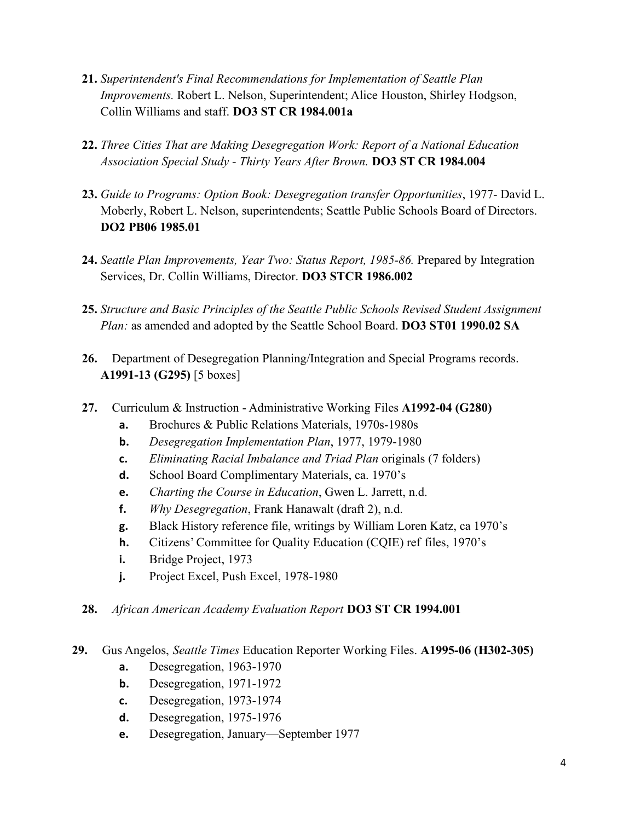- **21.** *Superintendent's Final Recommendations for Implementation of Seattle Plan Improvements.* Robert L. Nelson, Superintendent; Alice Houston, Shirley Hodgson, Collin Williams and staff. **DO3 ST CR 1984.001a**
- **22.** *Three Cities That are Making Desegregation Work: Report of a National Education Association Special Study - Thirty Years After Brown.* **DO3 ST CR 1984.004**
- **23.** *Guide to Programs: Option Book: Desegregation transfer Opportunities*, 1977- David L. Moberly, Robert L. Nelson, superintendents; Seattle Public Schools Board of Directors. **DO2 PB06 1985.01**
- **24.** *Seattle Plan Improvements, Year Two: Status Report, 1985-86.* Prepared by Integration Services, Dr. Collin Williams, Director. **DO3 STCR 1986.002**
- **25.** *Structure and Basic Principles of the Seattle Public Schools Revised Student Assignment Plan:* as amended and adopted by the Seattle School Board. **DO3 ST01 1990.02 SA**
- **26.** Department of Desegregation Planning/Integration and Special Programs records. **A1991-13 (G295)** [5 boxes]
- **27.** Curriculum & Instruction Administrative Working Files **A1992-04 (G280)**
	- **a.** Brochures & Public Relations Materials, 1970s-1980s
	- **b.** *Desegregation Implementation Plan*, 1977, 1979-1980
	- **c.** *Eliminating Racial Imbalance and Triad Plan* originals (7 folders)
	- **d.** School Board Complimentary Materials, ca. 1970's
	- **e.** *Charting the Course in Education*, Gwen L. Jarrett, n.d.
	- **f.** *Why Desegregation*, Frank Hanawalt (draft 2), n.d.
	- **g.** Black History reference file, writings by William Loren Katz, ca 1970's
	- **h.** Citizens' Committee for Quality Education (CQIE) ref files, 1970's
	- **i.** Bridge Project, 1973
	- **j.** Project Excel, Push Excel, 1978-1980
- **28.** *African American Academy Evaluation Report* **DO3 ST CR 1994.001**
- **29.** Gus Angelos, *Seattle Times* Education Reporter Working Files. **A1995-06 (H302-305)**
	- **a.** Desegregation, 1963-1970
	- **b.** Desegregation, 1971-1972
	- **c.** Desegregation, 1973-1974
	- **d.** Desegregation, 1975-1976
	- **e.** Desegregation, January—September 1977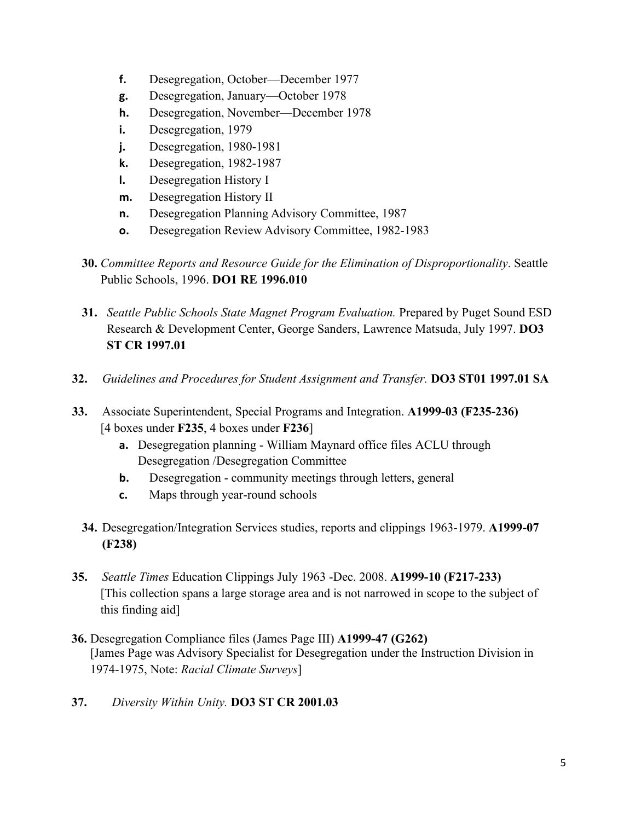- **f.** Desegregation, October—December 1977
- **g.** Desegregation, January—October 1978
- **h.** Desegregation, November—December 1978
- **i.** Desegregation, 1979
- **j.** Desegregation, 1980-1981
- **k.** Desegregation, 1982-1987
- **l.** Desegregation History I
- **m.** Desegregation History II
- **n.** Desegregation Planning Advisory Committee, 1987
- **o.** Desegregation Review Advisory Committee, 1982-1983
- **30.** *Committee Reports and Resource Guide for the Elimination of Disproportionality*. Seattle Public Schools, 1996. **DO1 RE 1996.010**
- **31.** *Seattle Public Schools State Magnet Program Evaluation.* Prepared by Puget Sound ESD Research & Development Center, George Sanders, Lawrence Matsuda, July 1997. **DO3 ST CR 1997.01**
- **32.** *Guidelines and Procedures for Student Assignment and Transfer.* **DO3 ST01 1997.01 SA**
- **33.** Associate Superintendent, Special Programs and Integration. **A1999-03 (F235-236)** [4 boxes under **F235**, 4 boxes under **F236**]
	- **a.** Desegregation planning William Maynard office files ACLU through Desegregation /Desegregation Committee
	- **b.** Desegregation community meetings through letters, general
	- **c.** Maps through year-round schools
	- **34.** Desegregation/Integration Services studies, reports and clippings 1963-1979. **A1999-07 (F238)**
- **35.** *Seattle Times* Education Clippings July 1963 -Dec. 2008. **A1999-10 (F217-233)** [This collection spans a large storage area and is not narrowed in scope to the subject of this finding aid]
- **36.** Desegregation Compliance files (James Page III) **A1999-47 (G262)** [James Page was Advisory Specialist for Desegregation under the Instruction Division in 1974-1975, Note: *Racial Climate Surveys*]
- **37.** *Diversity Within Unity.* **DO3 ST CR 2001.03**